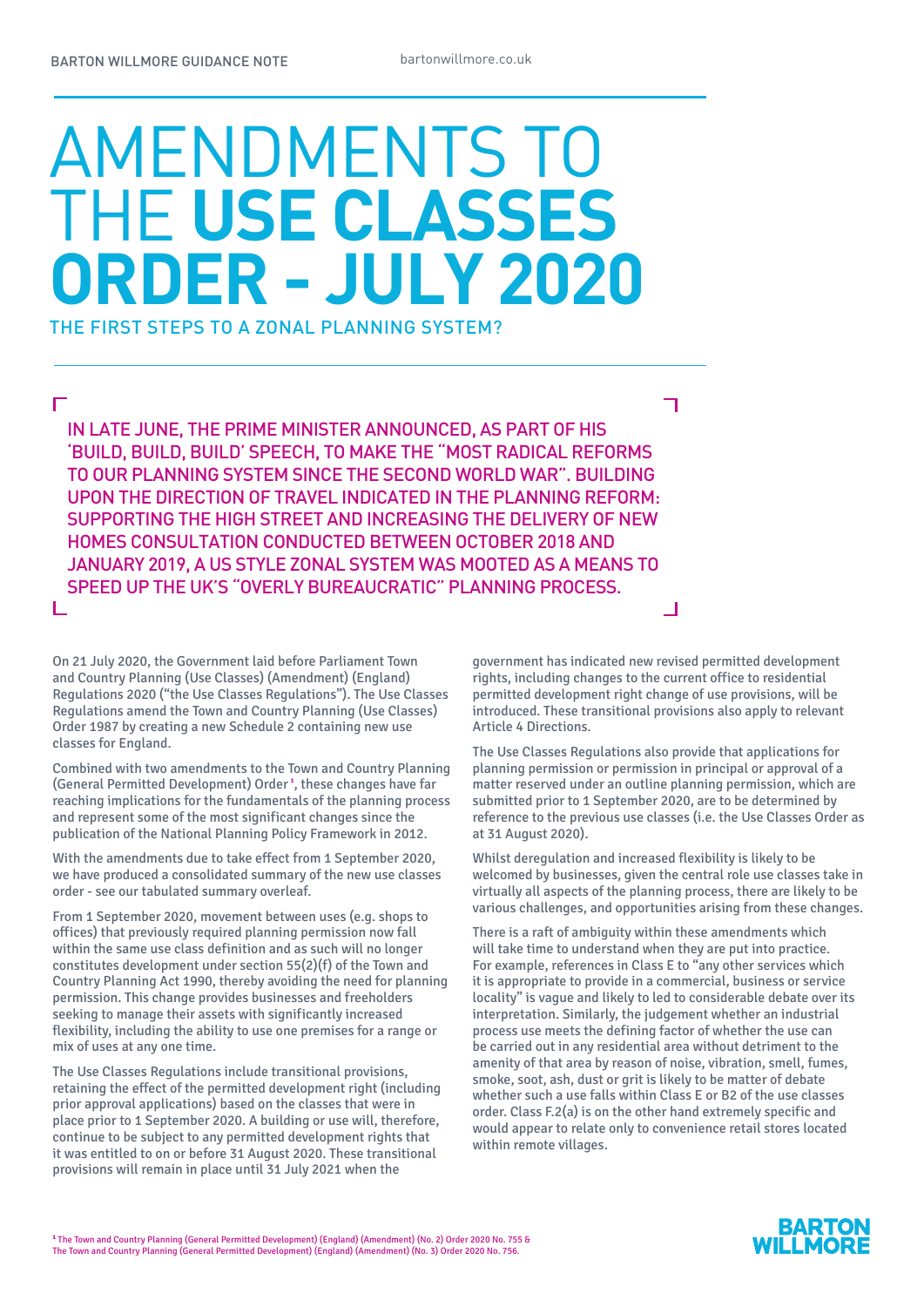# AMENDMENTS TO THE **USE CLASSES ORDER - JULY 2020** THE FIRST STEPS TO A ZONAL PLANNING SYSTEM?

 $\Box$ 

IN LATE JUNE, THE PRIME MINISTER ANNOUNCED, AS PART OF HIS 'BUILD, BUILD, BUILD' SPEECH, TO MAKE THE "MOST RADICAL REFORMS TO OUR PLANNING SYSTEM SINCE THE SECOND WORLD WAR". BUILDING UPON THE DIRECTION OF TRAVEL INDICATED IN THE PLANNING REFORM: SUPPORTING THE HIGH STREET AND INCREASING THE DELIVERY OF NEW HOMES CONSULTATION CONDUCTED BETWEEN OCTOBER 2018 AND JANUARY 2019, A US STYLE ZONAL SYSTEM WAS MOOTED AS A MEANS TO SPEED UP THE UK'S "OVERLY BUREAUCRATIC" PLANNING PROCESS. L  $\Box$ 

On 21 July 2020, the Government laid before Parliament Town and Country Planning (Use Classes) (Amendment) (England) Regulations 2020 ("the Use Classes Regulations"). The Use Classes Regulations amend the Town and Country Planning (Use Classes) Order 1987 by creating a new Schedule 2 containing new use classes for England.

Combined with two amendments to the Town and Country Planning (General Permitted Development) Order **<sup>1</sup>** , these changes have far reaching implications for the fundamentals of the planning process and represent some of the most significant changes since the publication of the National Planning Policy Framework in 2012.

With the amendments due to take effect from 1 September 2020, we have produced a consolidated summary of the new use classes order - see our tabulated summary overleaf.

From 1 September 2020, movement between uses (e.g. shops to offices) that previously required planning permission now fall within the same use class definition and as such will no longer constitutes development under section 55(2)(f) of the Town and Country Planning Act 1990, thereby avoiding the need for planning permission. This change provides businesses and freeholders seeking to manage their assets with significantly increased flexibility, including the ability to use one premises for a range or mix of uses at any one time.

The Use Classes Regulations include transitional provisions, retaining the effect of the permitted development right (including prior approval applications) based on the classes that were in place prior to 1 September 2020. A building or use will, therefore, continue to be subject to any permitted development rights that it was entitled to on or before 31 August 2020. These transitional provisions will remain in place until 31 July 2021 when the

government has indicated new revised permitted development rights, including changes to the current office to residential permitted development right change of use provisions, will be introduced. These transitional provisions also apply to relevant Article 4 Directions.

┑

The Use Classes Regulations also provide that applications for planning permission or permission in principal or approval of a matter reserved under an outline planning permission, which are submitted prior to 1 September 2020, are to be determined by reference to the previous use classes (i.e. the Use Classes Order as at 31 August 2020).

Whilst deregulation and increased flexibility is likely to be welcomed by businesses, given the central role use classes take in virtually all aspects of the planning process, there are likely to be various challenges, and opportunities arising from these changes.

There is a raft of ambiguity within these amendments which will take time to understand when they are put into practice. For example, references in Class E to "any other services which it is appropriate to provide in a commercial, business or service locality" is vague and likely to led to considerable debate over its interpretation. Similarly, the judgement whether an industrial process use meets the defining factor of whether the use can be carried out in any residential area without detriment to the amenity of that area by reason of noise, vibration, smell, fumes, smoke, soot, ash, dust or grit is likely to be matter of debate whether such a use falls within Class E or B2 of the use classes order. Class F.2(a) is on the other hand extremely specific and would appear to relate only to convenience retail stores located within remote villages.

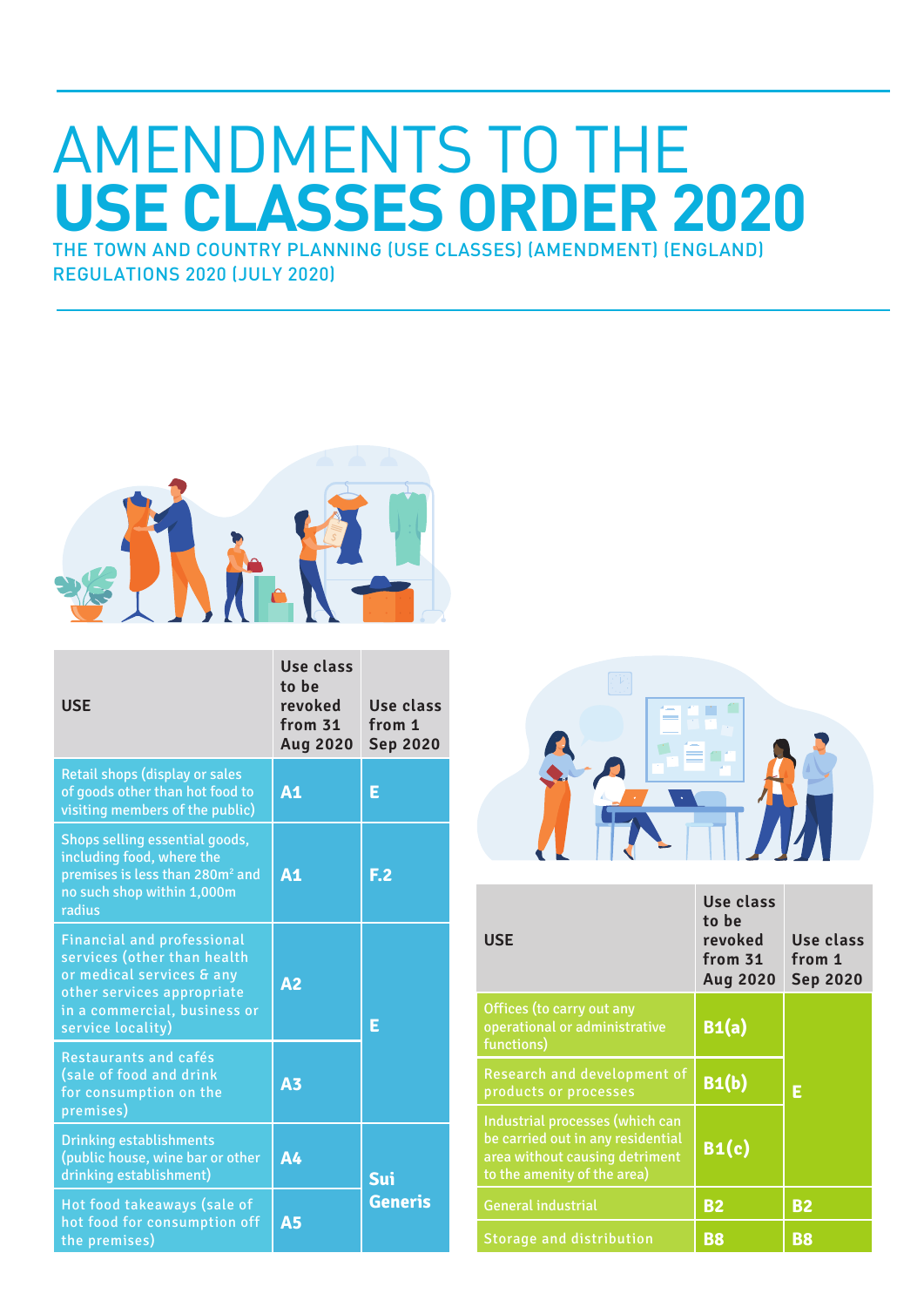## AMENDMENTS TO THE **USE CLASSES ORDER 2020** THE TOWN AND COUNTRY PLANNING (USE CLASSES) (AMENDMENT) (ENGLAND)

REGULATIONS 2020 (JULY 2020)



| <b>USE</b>                                                                                                                                                                       | Use class<br>to be<br>revoked<br>from 31<br><b>Aug 2020</b> | Use class<br>from 1<br><b>Sep 2020</b> |
|----------------------------------------------------------------------------------------------------------------------------------------------------------------------------------|-------------------------------------------------------------|----------------------------------------|
| <b>Retail shops (display or sales</b><br>of goods other than hot food to<br>visiting members of the public)                                                                      | A <sub>1</sub>                                              | E                                      |
| Shops selling essential goods,<br>including food, where the<br>premises is less than 280m <sup>2</sup> and<br>no such shop within 1,000m<br>radius                               | A <sub>1</sub>                                              | F <sub>2</sub>                         |
| <b>Financial and professional</b><br>services (other than health<br>or medical services & any<br>other services appropriate<br>in a commercial, business or<br>service locality) | A <sub>2</sub>                                              | E                                      |
| Restaurants and cafés<br>(sale of food and drink<br>for consumption on the<br>premises)                                                                                          | <b>A3</b>                                                   |                                        |
| <b>Drinking establishments</b><br>(public house, wine bar or other<br>drinking establishment)                                                                                    | <b>A4</b>                                                   | Sui                                    |
| Hot food takeaways (sale of<br>hot food for consumption off<br>the premises)                                                                                                     | <b>A5</b>                                                   | <b>Generis</b>                         |



| <b>USE</b>                                                                                                                            | Use class<br>to be<br>revoked<br>from 31<br><b>Aug 2020</b> | Use class<br>from 1<br><b>Sep 2020</b> |
|---------------------------------------------------------------------------------------------------------------------------------------|-------------------------------------------------------------|----------------------------------------|
| Offices (to carry out any<br>operational or administrative<br>functions)                                                              | B1(a)                                                       |                                        |
| Research and development of<br>products or processes                                                                                  | B1(b)                                                       | E                                      |
| Industrial processes (which can<br>be carried out in any residential<br>area without causing detriment<br>to the amenity of the area) | $B_1(c)$                                                    |                                        |
| <b>General industrial</b>                                                                                                             | <b>B2</b>                                                   | <b>B2</b>                              |
| <b>Storage and distribution</b>                                                                                                       | B8                                                          | B8                                     |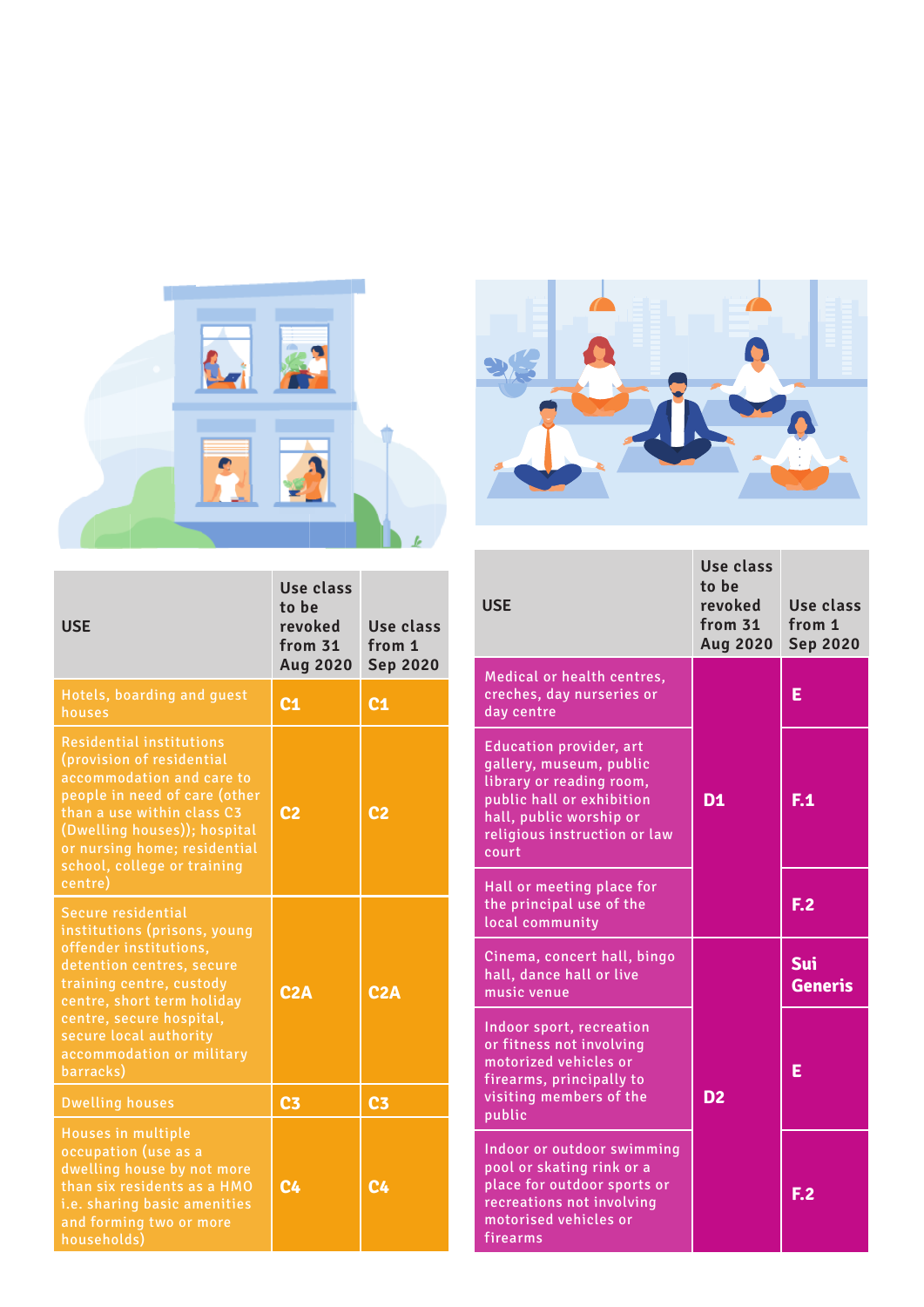



| <b>USE</b>                                                                                                                                                                                                                                                          | Use class<br>to be<br>revoked<br>from 31<br><b>Aug 2020</b> | Use class<br>from 1<br><b>Sep 2020</b> |
|---------------------------------------------------------------------------------------------------------------------------------------------------------------------------------------------------------------------------------------------------------------------|-------------------------------------------------------------|----------------------------------------|
| Hotels, boarding and guest<br>houses                                                                                                                                                                                                                                | C <sub>1</sub>                                              | C <sub>1</sub>                         |
| <b>Residential institutions</b><br>(provision of residential<br>accommodation and care to<br>people in need of care (other<br>than a use within class C3<br>(Dwelling houses)); hospital<br>or nursing home; residential<br>school, college or training<br>centre)  | C2                                                          | c <sub>2</sub>                         |
| Secure residential<br>institutions (prisons, young<br>offender institutions,<br>detention centres, secure<br>training centre, custody<br>centre, short term holiday<br>centre, secure hospital,<br>secure local authority<br>accommodation or military<br>barracks) | C2A                                                         | C2A                                    |
| <b>Dwelling houses</b>                                                                                                                                                                                                                                              | C <sub>3</sub>                                              | C <sub>3</sub>                         |
| Houses in multiple<br>occupation (use as a<br>dwelling house by not more<br>than six residents as a HMO<br>i.e. sharing basic amenities<br>and forming two or more<br>households)                                                                                   | C <sub>4</sub>                                              | C <sub>4</sub>                         |

| <b>USE</b>                                                                                                                                                                             | Use class<br>to be<br>revoked<br>from 31<br><b>Aug 2020</b> | Use class<br>from 1<br><b>Sep 2020</b> |
|----------------------------------------------------------------------------------------------------------------------------------------------------------------------------------------|-------------------------------------------------------------|----------------------------------------|
| Medical or health centres,<br>creches, day nurseries or<br>day centre                                                                                                                  | D <sub>1</sub>                                              | E                                      |
| <b>Education provider, art</b><br>gallery, museum, public<br>library or reading room,<br>public hall or exhibition<br>hall, public worship or<br>religious instruction or law<br>court |                                                             | F.1                                    |
| Hall or meeting place for<br>the principal use of the<br>local community                                                                                                               |                                                             | E.2                                    |
| Cinema, concert hall, bingo<br>hall, dance hall or live<br>music venue                                                                                                                 |                                                             | Sui<br><b>Generis</b>                  |
| Indoor sport, recreation<br>or fitness not involving<br>motorized vehicles or<br>firearms, principally to<br>visiting members of the<br>public                                         | D <sub>2</sub>                                              | E                                      |
| Indoor or outdoor swimming<br>pool or skating rink or a<br>place for outdoor sports or<br>recreations not involving<br>motorised vehicles or<br>firearms                               |                                                             | E.2                                    |